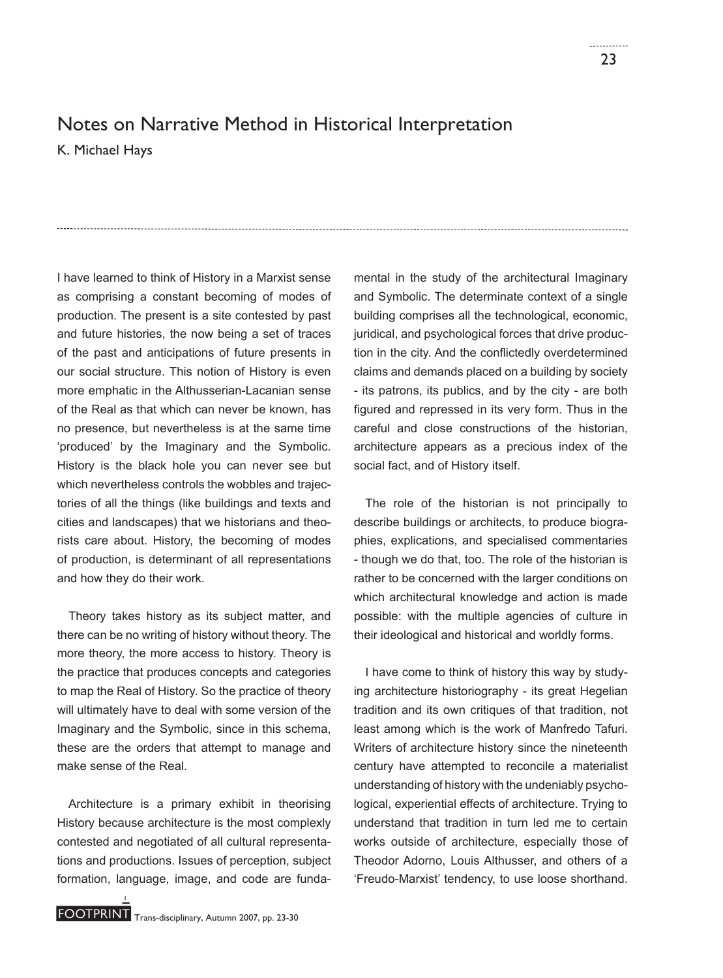## Notes on Narrative Method in Historical Interpretation

K. Michael Hays

I have learned to think of History in a Marxist sense as comprising a constant becoming of modes of production. The present is a site contested by past and future histories, the now being a set of traces of the past and anticipations of future presents in our social structure. This notion of History is even more emphatic in the Althusserian-Lacanian sense of the Real as that which can never be known, has no presence, but nevertheless is at the same time 'produced' by the Imaginary and the Symbolic. History is the black hole you can never see but which nevertheless controls the wobbles and trajectories of all the things (like buildings and texts and cities and landscapes) that we historians and theorists care about. History, the becoming of modes of production, is determinant of all representations and how they do their work.

Theory takes history as its subject matter, and there can be no writing of history without theory. The more theory, the more access to history. Theory is the practice that produces concepts and categories to map the Real of History. So the practice of theory will ultimately have to deal with some version of the Imaginary and the Symbolic, since in this schema, these are the orders that attempt to manage and make sense of the Real.

Architecture is a primary exhibit in theorising History because architecture is the most complexly contested and negotiated of all cultural representations and productions. Issues of perception, subject formation, language, image, and code are funda-

mental in the study of the architectural Imaginary and Symbolic. The determinate context of a single building comprises all the technological, economic, juridical, and psychological forces that drive production in the city. And the conflictedly overdetermined claims and demands placed on a building by society - its patrons, its publics, and by the city - are both figured and repressed in its very form. Thus in the careful and close constructions of the historian, architecture appears as a precious index of the social fact, and of History itself.

The role of the historian is not principally to describe buildings or architects, to produce biographies, explications, and specialised commentaries - though we do that, too. The role of the historian is rather to be concerned with the larger conditions on which architectural knowledge and action is made possible: with the multiple agencies of culture in their ideological and historical and worldly forms.

I have come to think of history this way by studying architecture historiography - its great Hegelian tradition and its own critiques of that tradition, not least among which is the work of Manfredo Tafuri. Writers of architecture history since the nineteenth century have attempted to reconcile a materialist understanding of history with the undeniably psychological, experiential effects of architecture. Trying to understand that tradition in turn led me to certain works outside of architecture, especially those of Theodor Adorno, Louis Althusser, and others of a 'Freudo-Marxist' tendency, to use loose shorthand.

1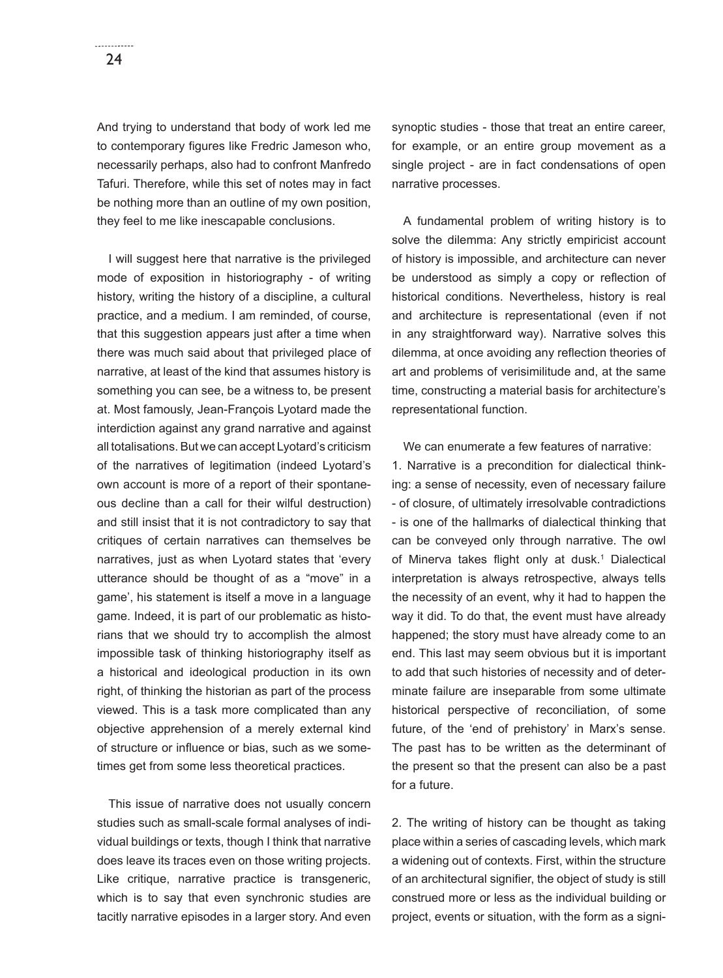And trying to understand that body of work led me to contemporary figures like Fredric Jameson who, necessarily perhaps, also had to confront Manfredo Tafuri. Therefore, while this set of notes may in fact be nothing more than an outline of my own position, they feel to me like inescapable conclusions.

I will suggest here that narrative is the privileged mode of exposition in historiography - of writing history, writing the history of a discipline, a cultural practice, and a medium. I am reminded, of course, that this suggestion appears just after a time when there was much said about that privileged place of narrative, at least of the kind that assumes history is something you can see, be a witness to, be present at. Most famously, Jean-François Lyotard made the interdiction against any grand narrative and against all totalisations. But we can accept Lyotard's criticism of the narratives of legitimation (indeed Lyotard's own account is more of a report of their spontaneous decline than a call for their wilful destruction) and still insist that it is not contradictory to say that critiques of certain narratives can themselves be narratives, just as when Lyotard states that 'every utterance should be thought of as a "move" in a game', his statement is itself a move in a language game. Indeed, it is part of our problematic as historians that we should try to accomplish the almost impossible task of thinking historiography itself as a historical and ideological production in its own right, of thinking the historian as part of the process viewed. This is a task more complicated than any objective apprehension of a merely external kind of structure or influence or bias, such as we sometimes get from some less theoretical practices.

This issue of narrative does not usually concern studies such as small-scale formal analyses of individual buildings or texts, though I think that narrative does leave its traces even on those writing projects. Like critique, narrative practice is transgeneric, which is to say that even synchronic studies are tacitly narrative episodes in a larger story. And even synoptic studies - those that treat an entire career, for example, or an entire group movement as a single project - are in fact condensations of open narrative processes.

A fundamental problem of writing history is to solve the dilemma: Any strictly empiricist account of history is impossible, and architecture can never be understood as simply a copy or reflection of historical conditions. Nevertheless, history is real and architecture is representational (even if not in any straightforward way). Narrative solves this dilemma, at once avoiding any reflection theories of art and problems of verisimilitude and, at the same time, constructing a material basis for architecture's representational function.

We can enumerate a few features of narrative:

1. Narrative is a precondition for dialectical thinking: a sense of necessity, even of necessary failure - of closure, of ultimately irresolvable contradictions - is one of the hallmarks of dialectical thinking that can be conveyed only through narrative. The owl of Minerva takes flight only at dusk.<sup>1</sup> Dialectical interpretation is always retrospective, always tells the necessity of an event, why it had to happen the way it did. To do that, the event must have already happened; the story must have already come to an end. This last may seem obvious but it is important to add that such histories of necessity and of determinate failure are inseparable from some ultimate historical perspective of reconciliation, of some future, of the 'end of prehistory' in Marx's sense. The past has to be written as the determinant of the present so that the present can also be a past for a future.

2. The writing of history can be thought as taking place within a series of cascading levels, which mark a widening out of contexts. First, within the structure of an architectural signifier, the object of study is still construed more or less as the individual building or project, events or situation, with the form as a signi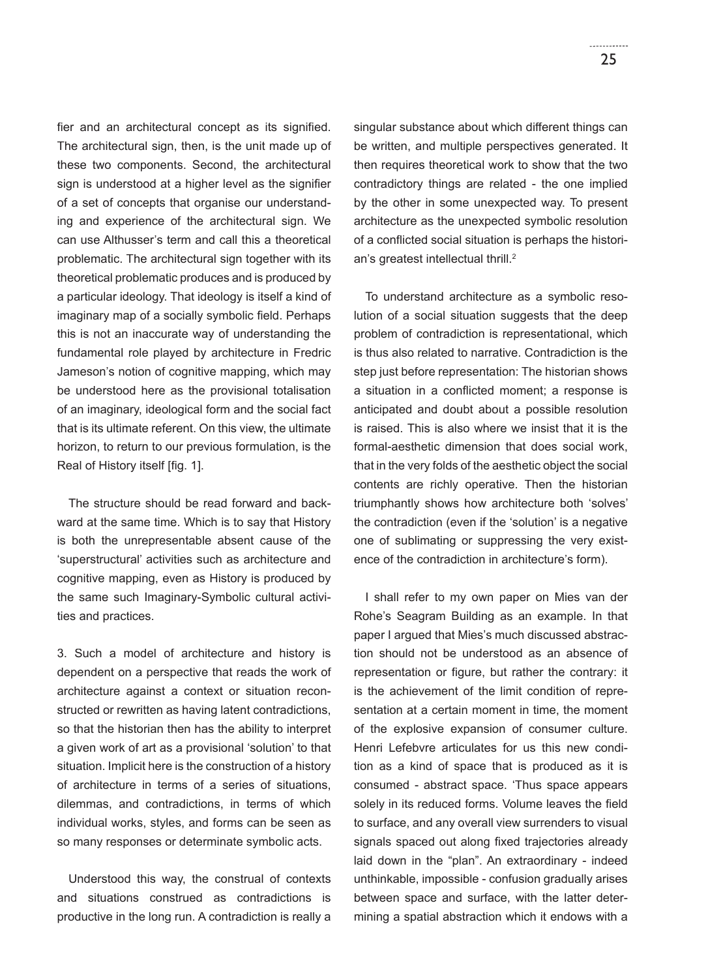fier and an architectural concept as its signified. The architectural sign, then, is the unit made up of these two components. Second, the architectural sign is understood at a higher level as the signifier of a set of concepts that organise our understanding and experience of the architectural sign. We can use Althusser's term and call this a theoretical problematic. The architectural sign together with its theoretical problematic produces and is produced by a particular ideology. That ideology is itself a kind of imaginary map of a socially symbolic field. Perhaps this is not an inaccurate way of understanding the fundamental role played by architecture in Fredric Jameson's notion of cognitive mapping, which may be understood here as the provisional totalisation of an imaginary, ideological form and the social fact that is its ultimate referent. On this view, the ultimate horizon, to return to our previous formulation, is the Real of History itself [fig. 1].

The structure should be read forward and backward at the same time. Which is to say that History is both the unrepresentable absent cause of the 'superstructural' activities such as architecture and cognitive mapping, even as History is produced by the same such Imaginary-Symbolic cultural activities and practices.

3. Such a model of architecture and history is dependent on a perspective that reads the work of architecture against a context or situation reconstructed or rewritten as having latent contradictions, so that the historian then has the ability to interpret a given work of art as a provisional 'solution' to that situation. Implicit here is the construction of a history of architecture in terms of a series of situations, dilemmas, and contradictions, in terms of which individual works, styles, and forms can be seen as so many responses or determinate symbolic acts.

Understood this way, the construal of contexts and situations construed as contradictions is productive in the long run. A contradiction is really a singular substance about which different things can be written, and multiple perspectives generated. It then requires theoretical work to show that the two contradictory things are related - the one implied by the other in some unexpected way. To present architecture as the unexpected symbolic resolution of a conflicted social situation is perhaps the historian's greatest intellectual thrill.<sup>2</sup>

To understand architecture as a symbolic resolution of a social situation suggests that the deep problem of contradiction is representational, which is thus also related to narrative. Contradiction is the step just before representation: The historian shows a situation in a conflicted moment; a response is anticipated and doubt about a possible resolution is raised. This is also where we insist that it is the formal-aesthetic dimension that does social work, that in the very folds of the aesthetic object the social contents are richly operative. Then the historian triumphantly shows how architecture both 'solves' the contradiction (even if the 'solution' is a negative one of sublimating or suppressing the very existence of the contradiction in architecture's form).

I shall refer to my own paper on Mies van der Rohe's Seagram Building as an example. In that paper I argued that Mies's much discussed abstraction should not be understood as an absence of representation or figure, but rather the contrary: it is the achievement of the limit condition of representation at a certain moment in time, the moment of the explosive expansion of consumer culture. Henri Lefebvre articulates for us this new condition as a kind of space that is produced as it is consumed - abstract space. 'Thus space appears solely in its reduced forms. Volume leaves the field to surface, and any overall view surrenders to visual signals spaced out along fixed trajectories already laid down in the "plan". An extraordinary - indeed unthinkable, impossible - confusion gradually arises between space and surface, with the latter determining a spatial abstraction which it endows with a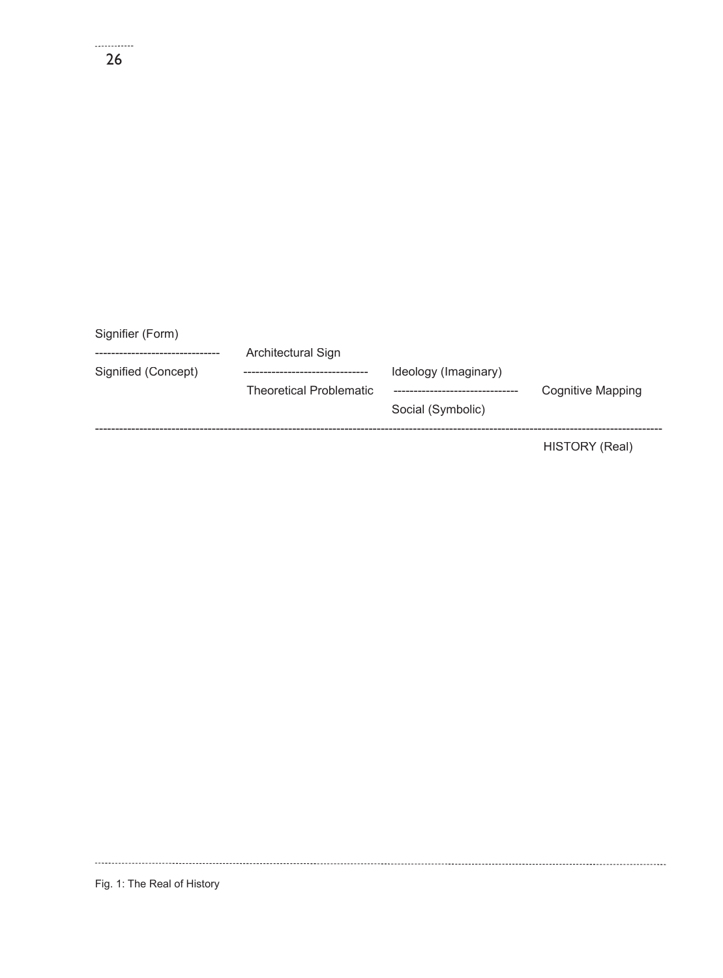| Signifier (Form)    |                                |                                           |                   |
|---------------------|--------------------------------|-------------------------------------------|-------------------|
|                     | Architectural Sign             |                                           |                   |
| Signified (Concept) | <b>Theoretical Problematic</b> | Ideology (Imaginary)<br>Social (Symbolic) | Cognitive Mapping |
|                     |                                |                                           | HISTORY (Real)    |

Fig. 1: The Real of History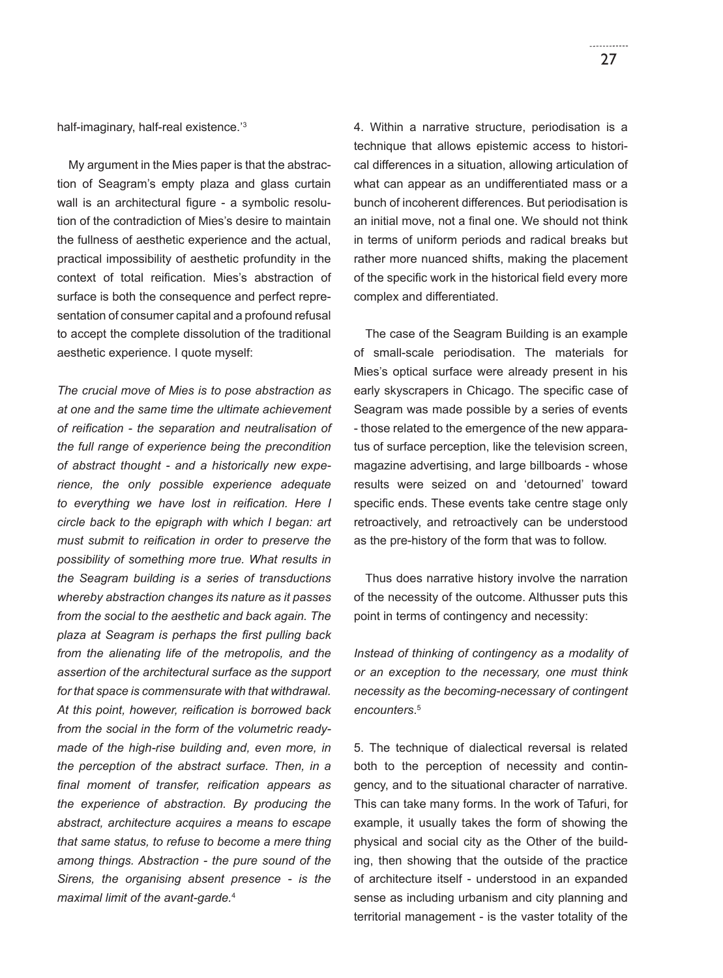half-imaginary, half-real existence.'3

My argument in the Mies paper is that the abstraction of Seagram's empty plaza and glass curtain wall is an architectural figure - a symbolic resolution of the contradiction of Mies's desire to maintain the fullness of aesthetic experience and the actual, practical impossibility of aesthetic profundity in the context of total reification. Mies's abstraction of surface is both the consequence and perfect representation of consumer capital and a profound refusal to accept the complete dissolution of the traditional aesthetic experience. I quote myself:

*The crucial move of Mies is to pose abstraction as at one and the same time the ultimate achievement of reifi cation - the separation and neutralisation of the full range of experience being the precondition of abstract thought - and a historically new experience, the only possible experience adequate*  to everything we have lost in reification. Here I *circle back to the epigraph with which I began: art*  must submit to reification in order to preserve the *possibility of something more true. What results in the Seagram building is a series of transductions whereby abstraction changes its nature as it passes from the social to the aesthetic and back again. The*  plaza at Seagram is perhaps the first pulling back *from the alienating life of the metropolis, and the assertion of the architectural surface as the support for that space is commensurate with that withdrawal.*  At this point, however, reification is borrowed back *from the social in the form of the volumetric readymade of the high-rise building and, even more, in the perception of the abstract surface. Then, in a*  final moment of transfer, reification appears as *the experience of abstraction. By producing the abstract, architecture acquires a means to escape that same status, to refuse to become a mere thing among things. Abstraction - the pure sound of the Sirens, the organising absent presence - is the maximal limit of the avant-garde.*<sup>4</sup>

4. Within a narrative structure, periodisation is a technique that allows epistemic access to historical differences in a situation, allowing articulation of what can appear as an undifferentiated mass or a bunch of incoherent differences. But periodisation is an initial move, not a final one. We should not think in terms of uniform periods and radical breaks but rather more nuanced shifts, making the placement of the specific work in the historical field every more complex and differentiated.

The case of the Seagram Building is an example of small-scale periodisation. The materials for Mies's optical surface were already present in his early skyscrapers in Chicago. The specific case of Seagram was made possible by a series of events - those related to the emergence of the new apparatus of surface perception, like the television screen, magazine advertising, and large billboards - whose results were seized on and 'detourned' toward specific ends. These events take centre stage only retroactively, and retroactively can be understood as the pre-history of the form that was to follow.

Thus does narrative history involve the narration of the necessity of the outcome. Althusser puts this point in terms of contingency and necessity:

*Instead of thinking of contingency as a modality of or an exception to the necessary, one must think necessity as the becoming-necessary of contingent encounters*. 5

5. The technique of dialectical reversal is related both to the perception of necessity and contingency, and to the situational character of narrative. This can take many forms. In the work of Tafuri, for example, it usually takes the form of showing the physical and social city as the Other of the building, then showing that the outside of the practice of architecture itself - understood in an expanded sense as including urbanism and city planning and territorial management - is the vaster totality of the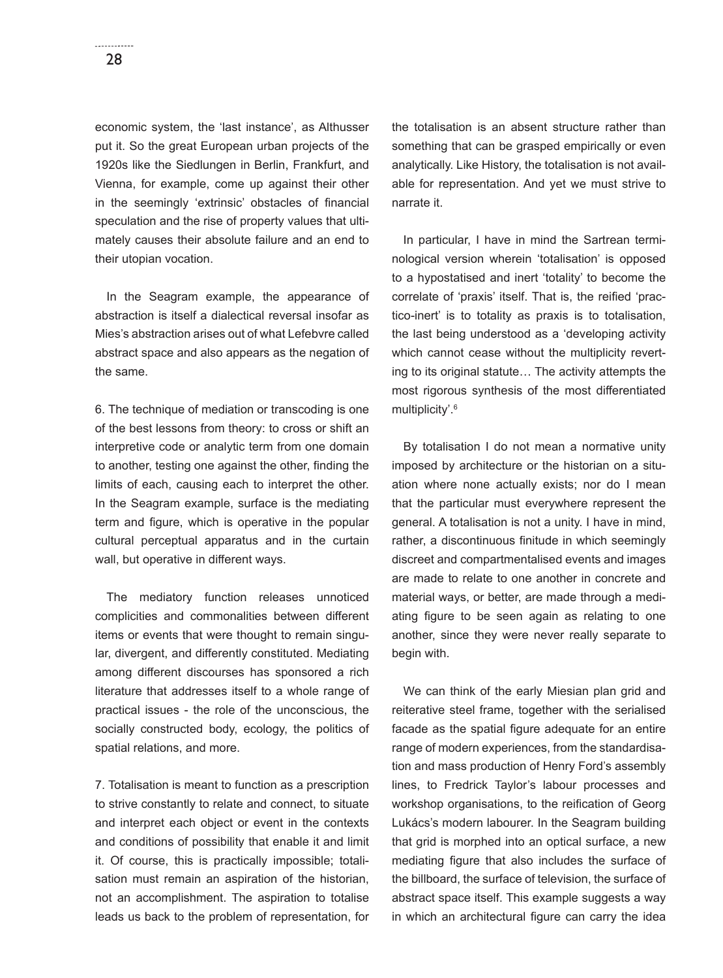economic system, the 'last instance', as Althusser put it. So the great European urban projects of the 1920s like the Siedlungen in Berlin, Frankfurt, and Vienna, for example, come up against their other in the seemingly 'extrinsic' obstacles of financial speculation and the rise of property values that ultimately causes their absolute failure and an end to their utopian vocation.

In the Seagram example, the appearance of abstraction is itself a dialectical reversal insofar as Mies's abstraction arises out of what Lefebvre called abstract space and also appears as the negation of the same.

6. The technique of mediation or transcoding is one of the best lessons from theory: to cross or shift an interpretive code or analytic term from one domain to another, testing one against the other, finding the limits of each, causing each to interpret the other. In the Seagram example, surface is the mediating term and figure, which is operative in the popular cultural perceptual apparatus and in the curtain wall, but operative in different ways.

The mediatory function releases unnoticed complicities and commonalities between different items or events that were thought to remain singular, divergent, and differently constituted. Mediating among different discourses has sponsored a rich literature that addresses itself to a whole range of practical issues - the role of the unconscious, the socially constructed body, ecology, the politics of spatial relations, and more.

7. Totalisation is meant to function as a prescription to strive constantly to relate and connect, to situate and interpret each object or event in the contexts and conditions of possibility that enable it and limit it. Of course, this is practically impossible; totalisation must remain an aspiration of the historian, not an accomplishment. The aspiration to totalise leads us back to the problem of representation, for the totalisation is an absent structure rather than something that can be grasped empirically or even analytically. Like History, the totalisation is not available for representation. And yet we must strive to narrate it.

In particular, I have in mind the Sartrean terminological version wherein 'totalisation' is opposed to a hypostatised and inert 'totality' to become the correlate of 'praxis' itself. That is, the reified 'practico-inert' is to totality as praxis is to totalisation, the last being understood as a 'developing activity which cannot cease without the multiplicity reverting to its original statute… The activity attempts the most rigorous synthesis of the most differentiated multiplicity'.<sup>6</sup>

By totalisation I do not mean a normative unity imposed by architecture or the historian on a situation where none actually exists; nor do I mean that the particular must everywhere represent the general. A totalisation is not a unity. I have in mind, rather, a discontinuous finitude in which seemingly discreet and compartmentalised events and images are made to relate to one another in concrete and material ways, or better, are made through a mediating figure to be seen again as relating to one another, since they were never really separate to begin with.

We can think of the early Miesian plan grid and reiterative steel frame, together with the serialised facade as the spatial figure adequate for an entire range of modern experiences, from the standardisation and mass production of Henry Ford's assembly lines, to Fredrick Taylor's labour processes and workshop organisations, to the reification of Georg Lukács's modern labourer. In the Seagram building that grid is morphed into an optical surface, a new mediating figure that also includes the surface of the billboard, the surface of television, the surface of abstract space itself. This example suggests a way in which an architectural figure can carry the idea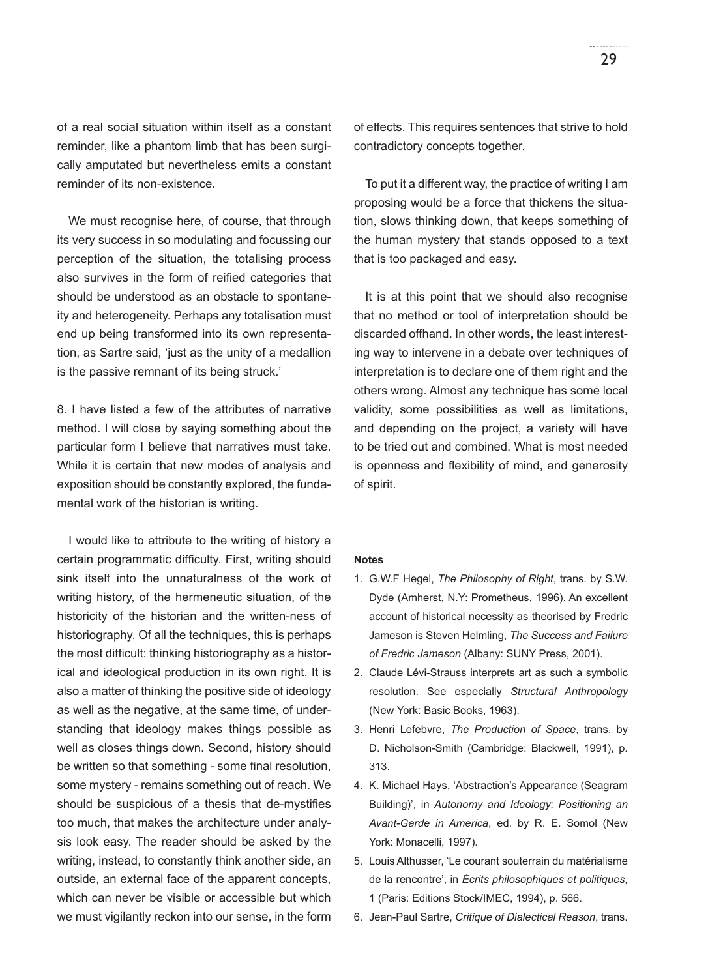of a real social situation within itself as a constant reminder, like a phantom limb that has been surgically amputated but nevertheless emits a constant reminder of its non-existence.

We must recognise here, of course, that through its very success in so modulating and focussing our perception of the situation, the totalising process also survives in the form of reified categories that should be understood as an obstacle to spontaneity and heterogeneity. Perhaps any totalisation must end up being transformed into its own representation, as Sartre said, 'just as the unity of a medallion is the passive remnant of its being struck.'

8. I have listed a few of the attributes of narrative method. I will close by saying something about the particular form I believe that narratives must take. While it is certain that new modes of analysis and exposition should be constantly explored, the fundamental work of the historian is writing.

I would like to attribute to the writing of history a certain programmatic difficulty. First, writing should sink itself into the unnaturalness of the work of writing history, of the hermeneutic situation, of the historicity of the historian and the written-ness of historiography. Of all the techniques, this is perhaps the most difficult: thinking historiography as a historical and ideological production in its own right. It is also a matter of thinking the positive side of ideology as well as the negative, at the same time, of understanding that ideology makes things possible as well as closes things down. Second, history should be written so that something - some final resolution, some mystery - remains something out of reach. We should be suspicious of a thesis that de-mystifies too much, that makes the architecture under analysis look easy. The reader should be asked by the writing, instead, to constantly think another side, an outside, an external face of the apparent concepts, which can never be visible or accessible but which we must vigilantly reckon into our sense, in the form

of effects. This requires sentences that strive to hold contradictory concepts together.

To put it a different way, the practice of writing I am proposing would be a force that thickens the situation, slows thinking down, that keeps something of the human mystery that stands opposed to a text that is too packaged and easy.

It is at this point that we should also recognise that no method or tool of interpretation should be discarded offhand. In other words, the least interesting way to intervene in a debate over techniques of interpretation is to declare one of them right and the others wrong. Almost any technique has some local validity, some possibilities as well as limitations, and depending on the project, a variety will have to be tried out and combined. What is most needed is openness and flexibility of mind, and generosity of spirit.

## **Notes**

- 1. G.W.F Hegel, *The Philosophy of Right*, trans. by S.W. Dyde (Amherst, N.Y: Prometheus, 1996). An excellent account of historical necessity as theorised by Fredric Jameson is Steven Helmling, *The Success and Failure of Fredric Jameson* (Albany: SUNY Press, 2001).
- 2. Claude Lévi-Strauss interprets art as such a symbolic resolution. See especially *Structural Anthropology*  (New York: Basic Books, 1963).
- 3. Henri Lefebvre, *The Production of Space*, trans. by D. Nicholson-Smith (Cambridge: Blackwell, 1991), p. 313.
- 4. K. Michael Hays, 'Abstraction's Appearance (Seagram Building)', in *Autonomy and Ideology: Positioning an Avant-Garde in America*, ed. by R. E. Somol (New York: Monacelli, 1997).
- 5. Louis Althusser, 'Le courant souterrain du matérialisme de la rencontre', in *Écrits philosophiques et politiques*, 1 (Paris: Editions Stock/IMEC, 1994), p. 566.
- 6. Jean-Paul Sartre, *Critique of Dialectical Reason*, trans.